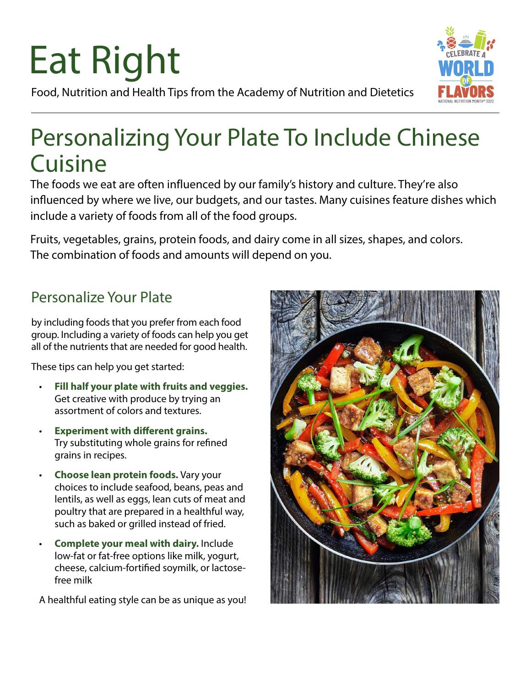# Eat Right



Food, Nutrition and Health Tips from the Academy of Nutrition and Dietetics

## Personalizing Your Plate To Include Chinese Cuisine

The foods we eat are often influenced by our family's history and culture. They're also influenced by where we live, our budgets, and our tastes. Many cuisines feature dishes which include a variety of foods from all of the food groups.

Fruits, vegetables, grains, protein foods, and dairy come in all sizes, shapes, and colors. The combination of foods and amounts will depend on you.

## Personalize Your Plate

by including foods that you prefer from each food group. Including a variety of foods can help you get all of the nutrients that are needed for good health.

These tips can help you get started:

- **Fill half your plate with fruits and veggies.** Get creative with produce by trying an assortment of colors and textures.
- **Experiment with different grains.** Try substituting whole grains for refined grains in recipes.
- **Choose lean protein foods.** Vary your choices to include seafood, beans, peas and lentils, as well as eggs, lean cuts of meat and poultry that are prepared in a healthful way, such as baked or grilled instead of fried.
- **Complete your meal with dairy.** Include low-fat or fat-free options like milk, yogurt, cheese, calcium-fortified soymilk, or lactosefree milk

A healthful eating style can be as unique as you!